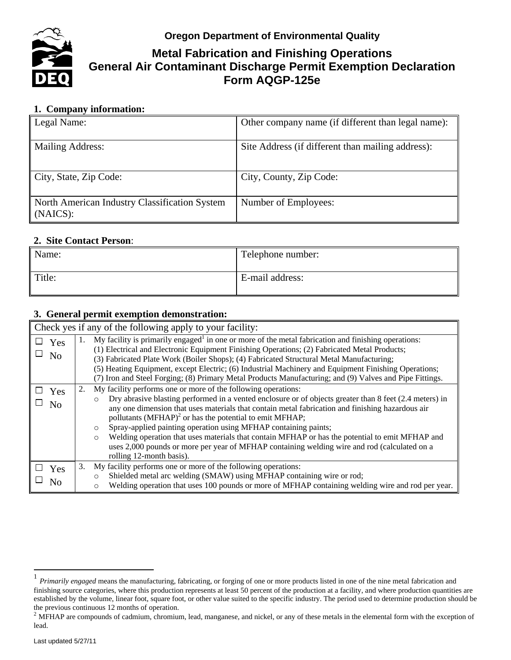**Oregon Department of Environmental Quality**



# **Metal Fabrication and Finishing Operations General Air Contaminant Discharge Permit Exemption Declaration Form AQGP-125e**

# **1. Company information:**

| Legal Name:                                               | Other company name (if different than legal name): |
|-----------------------------------------------------------|----------------------------------------------------|
| Mailing Address:                                          | Site Address (if different than mailing address):  |
| City, State, Zip Code:                                    | City, County, Zip Code:                            |
| North American Industry Classification System<br>(NAICS): | Number of Employees:                               |

### **2. Site Contact Person**:

| Name:  | Telephone number: |
|--------|-------------------|
| Title: | E-mail address:   |

## **3. General permit exemption demonstration:**

| Check yes if any of the following apply to your facility: |                                                                                                                                                                                                                                                                                                                                                                                                                                                                                                                                                                                                                                                                               |  |
|-----------------------------------------------------------|-------------------------------------------------------------------------------------------------------------------------------------------------------------------------------------------------------------------------------------------------------------------------------------------------------------------------------------------------------------------------------------------------------------------------------------------------------------------------------------------------------------------------------------------------------------------------------------------------------------------------------------------------------------------------------|--|
| $\Box$ Yes<br>No                                          | $\mathbf{M}$ y facility is primarily engaged <sup>1</sup> in one or more of the metal fabrication and finishing operations:<br>1.<br>(1) Electrical and Electronic Equipment Finishing Operations; (2) Fabricated Metal Products;<br>(3) Fabricated Plate Work (Boiler Shops); (4) Fabricated Structural Metal Manufacturing;<br>(5) Heating Equipment, except Electric; (6) Industrial Machinery and Equipment Finishing Operations;<br>(7) Iron and Steel Forging; (8) Primary Metal Products Manufacturing; and (9) Valves and Pipe Fittings.                                                                                                                              |  |
| Yes<br>No                                                 | My facility performs one or more of the following operations:<br>Dry abrasive blasting performed in a vented enclosure or of objects greater than 8 feet (2.4 meters) in<br>$\circ$<br>any one dimension that uses materials that contain metal fabrication and finishing hazardous air<br>pollutants $(MFHAP)^2$ or has the potential to emit MFHAP;<br>Spray-applied painting operation using MFHAP containing paints;<br>$\circ$<br>Welding operation that uses materials that contain MFHAP or has the potential to emit MFHAP and<br>$\circ$<br>uses 2,000 pounds or more per year of MFHAP containing welding wire and rod (calculated on a<br>rolling 12-month basis). |  |
| $\Box$ Yes<br>No                                          | My facility performs one or more of the following operations:<br>3.<br>Shielded metal arc welding (SMAW) using MFHAP containing wire or rod;<br>$\circ$<br>Welding operation that uses 100 pounds or more of MFHAP containing welding wire and rod per year.<br>$\circ$                                                                                                                                                                                                                                                                                                                                                                                                       |  |

 $\overline{a}$ 

<sup>1</sup> *Primarily engaged* means the manufacturing, fabricating, or forging of one or more products listed in one of the nine metal fabrication and finishing source categories, where this production represents at least 50 percent of the production at a facility, and where production quantities are established by the volume, linear foot, square foot, or other value suited to the specific industry. The period used to determine production should be the previous continuous 12 months of operation.

 $2$  MFHAP are compounds of cadmium, chromium, lead, manganese, and nickel, or any of these metals in the elemental form with the exception of lead.